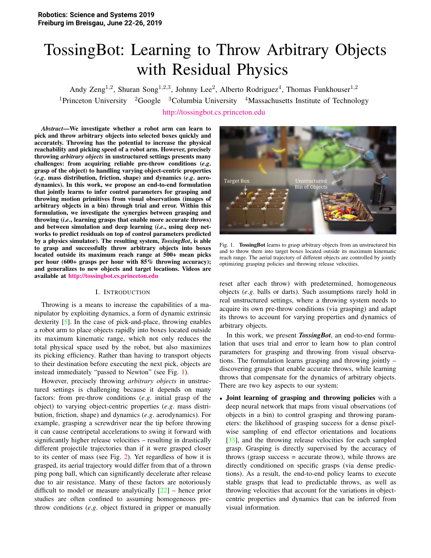# TossingBot: Learning to Throw Arbitrary Objects with Residual Physics

Andy Zeng<sup>1,2</sup>, Shuran Song<sup>1,2,3</sup>, Johnny Lee<sup>2</sup>, Alberto Rodriguez<sup>4</sup>, Thomas Funkhouser<sup>1,2</sup> <sup>1</sup>Princeton University <sup>2</sup>Google <sup>3</sup>Columbia University <sup>4</sup>Massachusetts Institute of Technology http://tossingbot.cs.princeton.edu

*Abstract*—We investigate whether a robot arm can learn to pick and throw arbitrary objects into selected boxes quickly and accurately. Throwing has the potential to increase the physical reachability and picking speed of a robot arm. However, precisely throwing *arbitrary objects* in unstructured settings presents many challenges: from acquiring reliable pre-throw conditions (*e*.*g*. grasp of the object) to handling varying object-centric properties (*e*.*g*. mass distribution, friction, shape) and dynamics (*e*.*g*. aerodynamics). In this work, we propose an end-to-end formulation that jointly learns to infer control parameters for grasping and throwing motion primitives from visual observations (images of arbitrary objects in a bin) through trial and error. Within this formulation, we investigate the synergies between grasping and throwing (*i*.*e*., learning grasps that enable more accurate throws) and between simulation and deep learning (*i*.*e*., using deep networks to predict residuals on top of control parameters predicted by a physics simulator). The resulting system, *TossingBot*, is able to grasp and successfully throw arbitrary objects into boxes located outside its maximum reach range at 500+ mean picks per hour (600+ grasps per hour with 85% throwing accuracy); and generalizes to new objects and target locations. Videos are available at http://tossingbot.cs.princeton.edu

#### I. INTRODUCTION

Throwing is a means to increase the capabilities of a manipulator by exploiting dynamics, a form of dynamic extrinsic dexterity [5]. In the case of pick-and-place, throwing enables a robot arm to place objects rapidly into boxes located outside its maximum kinematic range, which not only reduces the total physical space used by the robot, but also maximizes its picking efficiency. Rather than having to transport objects to their destination before executing the next pick, objects are instead immediately "passed to Newton" (see Fig. 1).

However, precisely throwing *arbitrary objects* in unstructured settings is challenging because it depends on many factors: from pre-throw conditions (*e*.*g*. initial grasp of the object) to varying object-centric properties (*e*.*g*. mass distribution, friction, shape) and dynamics (*e*.*g*. aerodynamics). For example, grasping a screwdriver near the tip before throwing it can cause centripetal accelerations to swing it forward with significantly higher release velocities – resulting in drastically different projectile trajectories than if it were grasped closer to its center of mass (see Fig. 2). Yet regardless of how it is grasped, its aerial trajectory would differ from that of a thrown ping pong ball, which can significantly decelerate after release due to air resistance. Many of these factors are notoriously difficult to model or measure analytically  $[22]$  – hence prior studies are often confined to assuming homogeneous prethrow conditions (*e*.*g*. object fixtured in gripper or manually



Fig. 1. TossingBot learns to grasp arbitrary objects from an unstructured bin and to throw them into target boxes located outside its maximum kinematic reach range. The aerial trajectory of different objects are controlled by jointly optimizing grasping policies and throwing release velocities.

reset after each throw) with predetermined, homogeneous objects (*e*.*g*. balls or darts). Such assumptions rarely hold in real unstructured settings, where a throwing system needs to acquire its own pre-throw conditions (via grasping) and adapt its throws to account for varying properties and dynamics of arbitrary objects.

In this work, we present *TossingBot*, an end-to-end formulation that uses trial and error to learn how to plan control parameters for grasping and throwing from visual observations. The formulation learns grasping and throwing jointly – discovering grasps that enable accurate throws, while learning throws that compensate for the dynamics of arbitrary objects. There are two key aspects to our system:

• Joint learning of grasping and throwing policies with a deep neural network that maps from visual observations (of objects in a bin) to control grasping and throwing parameters: the likelihood of grasping success for a dense pixelwise sampling of end effector orientations and locations [33], and the throwing release velocities for each sampled grasp. Grasping is directly supervised by the accuracy of throws (grasp success  $=$  accurate throw), while throws are directly conditioned on specific grasps (via dense predictions). As a result, the end-to-end policy learns to execute stable grasps that lead to predictable throws, as well as throwing velocities that account for the variations in objectcentric properties and dynamics that can be inferred from visual information.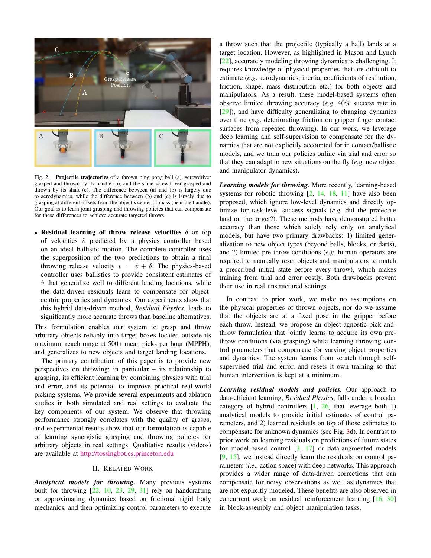

Fig. 2. Projectile trajectories of a thrown ping pong ball (a), screwdriver grasped and thrown by its handle (b), and the same screwdriver grasped and thrown by its shaft (c). The difference between (a) and (b) is largely due to aerodynamics, while the difference between (b) and (c) is largely due to grasping at different offsets from the object's center of mass (near the handle). Our goal is to learn joint grasping and throwing policies that can compensate for these differences to achieve accurate targeted throws.

• Residual learning of throw release velocities  $\delta$  on top of velocities  $\hat{v}$  predicted by a physics controller based on an ideal ballistic motion. The complete controller uses the superposition of the two predictions to obtain a final throwing release velocity  $v = \hat{v} + \delta$ . The physics-based controller uses ballistics to provide consistent estimates of  $\hat{v}$  that generalize well to different landing locations, while the data-driven residuals learn to compensate for objectcentric properties and dynamics. Our experiments show that this hybrid data-driven method, *Residual Physics*, leads to significantly more accurate throws than baseline alternatives.

This formulation enables our system to grasp and throw arbitrary objects reliably into target boxes located outside its maximum reach range at 500+ mean picks per hour (MPPH), and generalizes to new objects and target landing locations.

The primary contribution of this paper is to provide new perspectives on throwing: in particular  $-$  its relationship to grasping, its efficient learning by combining physics with trial and error, and its potential to improve practical real-world picking systems. We provide several experiments and ablation studies in both simulated and real settings to evaluate the key components of our system. We observe that throwing performance strongly correlates with the quality of grasps, and experimental results show that our formulation is capable of learning synergistic grasping and throwing policies for arbitrary objects in real settings. Qualitative results (videos) are available at http://tossingbot.cs.princeton.edu

## **II. RELATED WORK**

Analytical models for throwing. Many previous systems built for throwing  $[22, 10, 23, 29, 31]$  rely on handcrafting or approximating dynamics based on frictional rigid body mechanics, and then optimizing control parameters to execute

a throw such that the projectile (typically a ball) lands at a target location. However, as highlighted in Mason and Lynch  $[22]$ , accurately modeling throwing dynamics is challenging. It requires knowledge of physical properties that are difficult to estimate (e.g. aerodynamics, inertia, coefficients of restitution, friction, shape, mass distribution etc.) for both objects and manipulators. As a result, these model-based systems often observe limited throwing accuracy  $(e.g. 40\%$  success rate in  $[29]$ ), and have difficulty generalizing to changing dynamics over time  $(e.g.$  deteriorating friction on gripper finger contact surfaces from repeated throwing). In our work, we leverage deep learning and self-supervision to compensate for the dynamics that are not explicitly accounted for in contact/ballistic models, and we train our policies online via trial and error so that they can adapt to new situations on the fly  $(e.g., new object)$ and manipulator dynamics).

Learning models for throwing. More recently, learning-based systems for robotic throwing  $[2, 14, 18, 11]$  have also been proposed, which ignore low-level dynamics and directly optimize for task-level success signals  $(e.g., did)$  the projectile land on the target?). These methods have demonstrated better accuracy than those which solely rely only on analytical models, but have two primary drawbacks: 1) limited generalization to new object types (beyond balls, blocks, or darts), and 2) limited pre-throw conditions  $(e.g.,$  human operators are required to manually reset objects and manipulators to match a prescribed initial state before every throw), which makes training from trial and error costly. Both drawbacks prevent their use in real unstructured settings.

In contrast to prior work, we make no assumptions on the physical properties of thrown objects, nor do we assume that the objects are at a fixed pose in the gripper before each throw. Instead, we propose an object-agnostic pick-andthrow formulation that jointly learns to acquire its own prethrow conditions (via grasping) while learning throwing control parameters that compensate for varying object properties and dynamics. The system learns from scratch through selfsupervised trial and error, and resets it own training so that human intervention is kept at a minimum.

Learning residual models and policies. Our approach to data-efficient learning, *Residual Physics*, falls under a broader category of hybrid controllers  $[1, 26]$  that leverage both 1) analytical models to provide initial estimates of control parameters, and 2) learned residuals on top of those estimates to compensate for unknown dynamics (see Fig. 3d). In contrast to prior work on learning residuals on predictions of future states for model-based control  $\begin{bmatrix} 3 \\ 17 \end{bmatrix}$  or data-augmented models  $[9, 15]$ , we instead directly learn the residuals on control parameters (i.e., action space) with deep networks. This approach provides a wider range of data-driven corrections that can compensate for noisy observations as well as dynamics that are not explicitly modeled. These benefits are also observed in concurrent work on residual reinforcement learning [16, 30] in block-assembly and object manipulation tasks.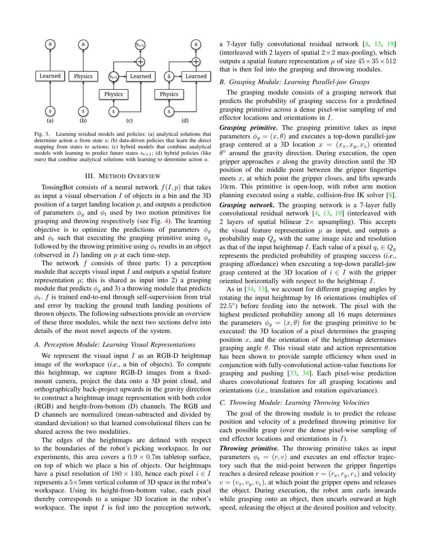

Fig. 3. Learning residual models and policies: (a) analytical solutions that determine action  $\alpha$  from state  $s$ ; (b) data-driven policies that learn the direct mapping from states to actions; (c) hybrid models that combine analytical models with learning to predict future states  $s_{t+1}$ ; (d) hybrid policies (like ours) that combine analytical solutions with learning to determine action  $a$ .

#### **III. METHOD OVERVIEW**

TossingBot consists of a neural network  $f(I, p)$  that takes as input a visual observation  $I$  of objects in a bin and the 3D position of a target landing location  $p$ , and outputs a prediction of parameters  $\phi_g$  and  $\phi_t$  used by two motion primitives for grasping and throwing respectively (see Fig. 4). The learning objective is to optimize the predictions of parameters  $\phi_q$ and  $\phi_t$  such that executing the grasping primitive using  $\phi_g$ followed by the throwing primitive using  $\phi_t$  results in an object (observed in  $I$ ) landing on  $p$  at each time-step.

The network  $f$  consists of three parts: 1) a perception module that accepts visual input  $I$  and outputs a spatial feature representation  $\mu$ ; this is shared as input into 2) a grasping module that predicts  $\phi_q$  and 3) a throwing module that predicts  $\phi_t$ . f is trained end-to-end through self-supervision from trial and error by tracking the ground truth landing positions of thrown objects. The following subsections provide an overview of these three modules, while the next two sections delve into details of the most novel aspects of the system.

## A. Perception Module: Learning Visual Representations

We represent the visual input  $I$  as an RGB-D heightmap image of the workspace *(i.e.*, a bin of objects). To compute this heightmap, we capture RGB-D images from a fixedmount camera, project the data onto a 3D point cloud, and orthographically back-project upwards in the gravity direction to construct a heightmap image representation with both color (RGB) and height-from-bottom (D) channels. The RGB and D channels are normalized (mean-subtracted and divided by standard deviation) so that learned convolutional filters can be shared across the two modalities.

The edges of the heightmaps are defined with respect to the boundaries of the robot's picking workspace. In our experiments, this area covers a  $0.9 \times 0.7$ m tabletop surface, on top of which we place a bin of objects. Our heightmaps have a pixel resolution of  $180 \times 140$ , hence each pixel  $i \in I$ represents a  $5\times 5$ mm vertical column of 3D space in the robot's workspace. Using its height-from-bottom value, each pixel thereby corresponds to a unique 3D location in the robot's workspace. The input  $I$  is fed into the perception network, a 7-layer fully convolutional residual network  $[4, 13, 19]$ (interleaved with 2 layers of spatial  $2 \times 2$  max-pooling), which outputs a spatial feature representation  $\mu$  of size  $45 \times 35 \times 512$ that is then fed into the grasping and throwing modules.

## B. Grasping Module: Learning Parallel-jaw Grasps

The grasping module consists of a grasping network that predicts the probability of grasping success for a predefined grasping primitive across a dense pixel-wise sampling of end effector locations and orientations in I.

Grasping primitive. The grasping primitive takes as input parameters  $\phi_g = (x, \theta)$  and executes a top-down parallel-jaw grasp centered at a 3D location  $x = (x_x, x_y, x_z)$  oriented  $\theta^{\circ}$  around the gravity direction. During execution, the open gripper approaches  $x$  along the gravity direction until the 3D position of the middle point between the gripper fingertips meets  $x$ , at which point the gripper closes, and lifts upwards 10cm. This primitive is open-loop, with robot arm motion planning executed using a stable, collision-free IK solver  $[8]$ . Grasping network. The grasping network is a 7-layer fully convolutional residual network  $[4, 13, 19]$  (interleaved with 2 layers of spatial bilinear  $2 \times$  upsampling). This accepts the visual feature representation  $\mu$  as input, and outputs a probability map  $Q<sub>q</sub>$  with the same image size and resolution as that of the input heightmap *I*. Each value of a pixel  $q_i \in Q_q$ represents the predicted probability of grasping success (i.e., grasping affordance) when executing a top-down parallel-jaw grasp centered at the 3D location of  $i \in I$  with the gripper oriented horizontally with respect to the heightmap I.

As in  $[34, 33]$ , we account for different grasping angles by rotating the input heightmap by 16 orientations (multiples of  $22.5^{\circ}$ ) before feeding into the network. The pixel with the highest predicted probability among all 16 maps determines the parameters  $\phi_q = (x, \theta)$  for the grasping primitive to be executed: the 3D location of a pixel determines the grasping position  $x$ , and the orientation of the heightmap determines grasping angle  $\theta$ . This visual state and action representation has been shown to provide sample efficiency when used in conjunction with fully-convolutional action-value functions for grasping and pushing  $[33, 34]$ . Each pixel-wise prediction shares convolutional features for all grasping locations and orientations *(i.e., translation and rotation equivariance)*.

#### C. Throwing Module: Learning Throwing Velocities

The goal of the throwing module is to predict the release position and velocity of a predefined throwing primitive for each possible grasp (over the dense pixel-wise sampling of end effector locations and orientations in  $I$ ).

**Throwing primitive.** The throwing primitive takes as input parameters  $\phi_t = (r, v)$  and executes an end effector trajectory such that the mid-point between the gripper fingertips reaches a desired release position  $r = (r_x, r_y, r_z)$  and velocity  $v = (v_x, v_y, v_z)$ , at which point the gripper opens and releases the object. During execution, the robot arm curls inwards while grasping onto an object, then uncurls outward at high speed, releasing the object at the desired position and velocity.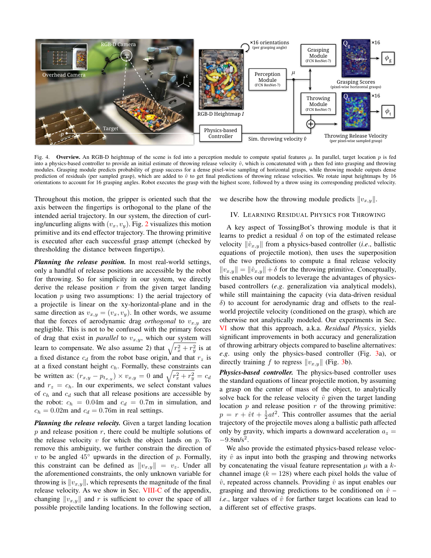

 $Fig. 4$ **Overview.** An RGB-D heightmap of the scene is fed into a perception module to compute spatial features  $\mu$ . In parallel, target location p is fed into a physics-based controller to provide an initial estimate of throwing release velocity  $\hat{v}$ , which is concatenated with  $\mu$  then fed into grasping and throwing modules. Grasping module predicts probability of grasp success for a dense pixel-wise sampling of horizontal grasps, while throwing module outputs dense prediction of residuals (per sampled grasp), which are added to  $\hat{v}$  to get final predictions of throwing release velocities. We rotate input heightmaps by 16 orientations to account for 16 grasping angles. Robot executes the grasp with the highest score, followed by a throw using its corresponding predicted velocity.

Throughout this motion, the gripper is oriented such that the axis between the fingertips is orthogonal to the plane of the intended aerial trajectory. In our system, the direction of curling/uncurling aligns with  $(v_x, v_y)$ . Fig. 2 visualizes this motion primitive and its end effector trajectory. The throwing primitive is executed after each successful grasp attempt (checked by thresholding the distance between fingertips).

**Planning the release position.** In most real-world settings, only a handful of release positions are accessible by the robot for throwing. So for simplicity in our system, we directly derive the release position  $r$  from the given target landing location  $p$  using two assumptions: 1) the aerial trajectory of a projectile is linear on the xy-horizontal-plane and in the same direction as  $v_{x,y} = (v_x, v_y)$ . In other words, we assume that the forces of aerodynamic drag *orthogonal* to  $v_{x,y}$  are negligible. This is not to be confused with the primary forces of drag that exist in *parallel* to  $v_{x,y}$ , which our system will learn to compensate. We also assume 2) that  $\sqrt{r_x^2 + r_y^2}$  is at a fixed distance  $c_d$  from the robot base origin, and that  $r_z$  is at a fixed constant height  $c_h$ . Formally, these constraints can be written as:  $(r_{x,y} - p_{t_{x,y}}) \times v_{x,y} = 0$  and  $\sqrt{r_x^2 + r_y^2} = c_d$ and  $r_z = c_h$ . In our experiments, we select constant values of  $c_h$  and  $c_d$  such that all release positions are accessible by the robot:  $c_h = 0.04$ m and  $c_d = 0.7$ m in simulation, and  $c_h = 0.02$ m and  $c_d = 0.76$ m in real settings.

Planning the release velocity. Given a target landing location  $p$  and release position  $r$ , there could be multiple solutions of the release velocity  $v$  for which the object lands on  $p$ . To remove this ambiguity, we further constrain the direction of v to be angled  $45^{\circ}$  upwards in the direction of p. Formally, this constraint can be defined as  $||v_{x,y}|| = v_z$ . Under all the aforementioned constraints, the only unknown variable for throwing is  $||v_{x,y}||$ , which represents the magnitude of the final release velocity. As we show in Sec. VIII-C of the appendix, changing  $||v_{x,y}||$  and r is sufficient to cover the space of all possible projectile landing locations. In the following section, we describe how the throwing module predicts  $||v_{x,y}||$ .

## IV. LEARNING RESIDUAL PHYSICS FOR THROWING

A key aspect of TossingBot's throwing module is that it learns to predict a residual  $\delta$  on top of the estimated release velocity  $\|\hat{v}_{x,y}\|$  from a physics-based controller (*i.e.*, ballistic equations of projectile motion), then uses the superposition of the two predictions to compute a final release velocity  $||v_{x,y}|| = ||\hat{v}_{x,y}|| + \delta$  for the throwing primitive. Conceptually, this enables our models to leverage the advantages of physicsbased controllers (e.g. generalization via analytical models), while still maintaining the capacity (via data-driven residual  $\delta$ ) to account for aerodynamic drag and offsets to the realworld projectile velocity (conditioned on the grasp), which are otherwise not analytically modeled. Our experiments in Sec. VI show that this approach, a.k.a. Residual Physics, yields significant improvements in both accuracy and generalization of throwing arbitrary objects compared to baseline alternatives: e.g. using only the physics-based controller (Fig. 3a), or directly training f to regress  $||v_{x,y}||$  (Fig. 3b).

Physics-based controller. The physics-based controller uses the standard equations of linear projectile motion, by assuming a grasp on the center of mass of the object, to analytically solve back for the release velocity  $\hat{v}$  given the target landing location  $p$  and release position  $r$  of the throwing primitive:  $p = r + \hat{v}t + \frac{1}{2}at^2$ . This controller assumes that the aerial trajectory of the projectile moves along a ballistic path affected only by gravity, which imparts a downward acceleration  $a_z =$  $-9.8$ m/s<sup>2</sup>.

We also provide the estimated physics-based release velocity  $\hat{v}$  as input into both the grasping and throwing networks by concatenating the visual feature representation  $\mu$  with a  $k$ channel image ( $k = 128$ ) where each pixel holds the value of  $\hat{v}$ , repeated across channels. Providing  $\hat{v}$  as input enables our grasping and throwing predictions to be conditioned on  $\hat{v}$  – *i.e.*, larger values of  $\hat{v}$  for farther target locations can lead to a different set of effective grasps.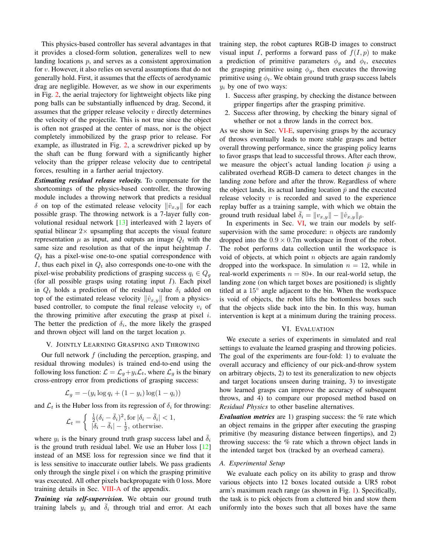This physics-based controller has several advantages in that it provides a closed-form solution, generalizes well to new landing locations  $p$ , and serves as a consistent approximation for  $v$ . However, it also relies on several assumptions that do not generally hold. First, it assumes that the effects of aerodynamic drag are negligible. However, as we show in our experiments in Fig. 2, the aerial trajectory for lightweight objects like ping pong balls can be substantially influenced by drag. Second, it assumes that the gripper release velocity  $v$  directly determines the velocity of the projectile. This is not true since the object is often not grasped at the center of mass, nor is the object completely immobilized by the grasp prior to release. For example, as illustrated in Fig. 2, a screwdriver picked up by the shaft can be flung forward with a significantly higher velocity than the gripper release velocity due to centripetal forces, resulting in a farther aerial trajectory.

**Estimating residual release velocity.** To compensate for the shortcomings of the physics-based controller, the throwing module includes a throwing network that predicts a residual  $\delta$  on top of the estimated release velocity  $\|\hat{v}_{x,y}\|$  for each possible grasp. The throwing network is a 7-layer fully convolutional residual network  $[13]$  interleaved with 2 layers of spatial bilinear  $2 \times$  upsampling that accepts the visual feature representation  $\mu$  as input, and outputs an image  $Q_t$  with the same size and resolution as that of the input heightmap  $I$ .  $Q_t$  has a pixel-wise one-to-one spatial correspondence with I, thus each pixel in  $Q_t$  also corresponds one-to-one with the pixel-wise probability predictions of grasping success  $q_i \in Q_q$ (for all possible grasps using rotating input  $I$ ). Each pixel in  $Q_t$  holds a prediction of the residual value  $\delta_i$  added on top of the estimated release velocity  $\|\hat{v}_{x,y}\|$  from a physicsbased controller, to compute the final release velocity  $v_i$  of the throwing primitive after executing the grasp at pixel  $i$ . The better the prediction of  $\delta_i$ , the more likely the grasped and thrown object will land on the target location  $p$ .

#### V. JOINTLY LEARNING GRASPING AND THROWING

Our full network  $f$  (including the perception, grasping, and residual throwing modules) is trained end-to-end using the following loss function:  $\mathcal{L} = \mathcal{L}_q + y_i \mathcal{L}_t$ , where  $\mathcal{L}_q$  is the binary cross-entropy error from predictions of grasping success:

$$
\mathcal{L}_g = -(y_i \log q_i + (1 - y_i) \log(1 - q_i))
$$

and  $\mathcal{L}_t$  is the Huber loss from its regression of  $\delta_i$  for throwing:

$$
\mathcal{L}_t = \begin{cases} \frac{1}{2} (\delta_i - \bar{\delta}_i)^2, \text{for } |\delta_i - \bar{\delta}_i| < 1\\ |\delta_i - \bar{\delta}_i| - \frac{1}{2}, \text{ otherwise.} \end{cases}
$$

where  $y_i$  is the binary ground truth grasp success label and  $\delta_i$ is the ground truth residual label. We use an Huber loss  $[12]$ instead of an MSE loss for regression since we find that it is less sensitive to inaccurate outlier labels. We pass gradients only through the single pixel  $i$  on which the grasping primitive was executed. All other pixels backpropagate with 0 loss. More training details in Sec. VIII-A of the appendix.

Training via self-supervision. We obtain our ground truth training labels  $y_i$  and  $\delta_i$  through trial and error. At each training step, the robot captures RGB-D images to construct visual input I, performs a forward pass of  $f(I, p)$  to make a prediction of primitive parameters  $\phi_g$  and  $\phi_t$ , executes the grasping primitive using  $\phi_g$ , then executes the throwing primitive using  $\phi_t$ . We obtain ground truth grasp success labels  $y_i$  by one of two ways:

- 1. Success after grasping, by checking the distance between gripper fingertips after the grasping primitive.
- 2. Success after throwing, by checking the binary signal of whether or not a throw lands in the correct box.

As we show in Sec. VI-E, supervising grasps by the accuracy of throws eventually leads to more stable grasps and better overall throwing performance, since the grasping policy learns to favor grasps that lead to successful throws. After each throw, we measure the object's actual landing location  $\bar{p}$  using a calibrated overhead RGB-D camera to detect changes in the landing zone before and after the throw. Regardless of where the object lands, its actual landing location  $\bar{p}$  and the executed release velocity  $v$  is recorded and saved to the experience replay buffer as a training sample, with which we obtain the ground truth residual label  $\delta_i = ||v_{x,y}|| - ||\hat{v}_{x,y}||_{\bar{p}}$ .

In experiments in Sec. VI, we train our models by selfsupervision with the same procedure:  $n$  objects are randomly dropped into the  $0.9 \times 0.7$ m workspace in front of the robot. The robot performs data collection until the workspace is void of objects, at which point  $n$  objects are again randomly dropped into the workspace. In simulation  $n = 12$ , while in real-world experiments  $n = 80+$ . In our real-world setup, the landing zone (on which target boxes are positioned) is slightly titled at a 15° angle adjacent to the bin. When the workspace is void of objects, the robot lifts the bottomless boxes such that the objects slide back into the bin. In this way, human intervention is kept at a minimum during the training process.

## VI. EVALUATION

We execute a series of experiments in simulated and real settings to evaluate the learned grasping and throwing policies. The goal of the experiments are four-fold: 1) to evaluate the overall accuracy and efficiency of our pick-and-throw system on arbitrary objects, 2) to test its generalization to new objects and target locations unseen during training, 3) to investigate how learned grasps can improve the accuracy of subsequent throws, and 4) to compare our proposed method based on Residual Physics to other baseline alternatives.

**Evaluation metrics** are 1) grasping success: the  $\%$  rate which an object remains in the gripper after executing the grasping primitive (by measuring distance between fingertips), and 2) throwing success: the  $%$  rate which a thrown object lands in the intended target box (tracked by an overhead camera).

#### A. Experimental Setup

We evaluate each policy on its ability to grasp and throw various objects into 12 boxes located outside a UR5 robot arm's maximum reach range (as shown in Fig. 1). Specifically, the task is to pick objects from a cluttered bin and stow them uniformly into the boxes such that all boxes have the same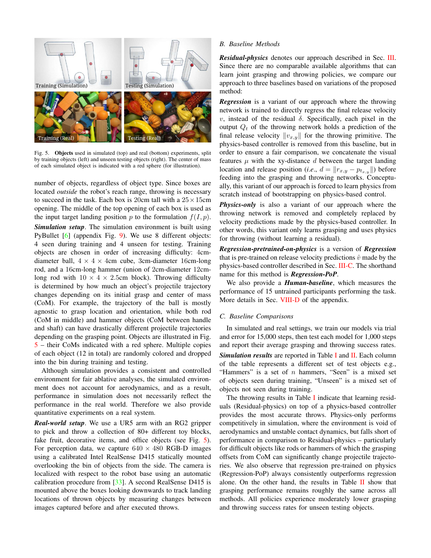

Fig. 5. Objects used in simulated (top) and real (bottom) experiments, split by training objects (left) and unseen testing objects (right). The center of mass of each simulated object is indicated with a red sphere (for illustration).

number of objects, regardless of object type. Since boxes are located *outside* the robot's reach range, throwing is necessary to succeed in the task. Each box is 20cm tall with a  $25 \times 15$ cm opening. The middle of the top opening of each box is used as the input target landing position p to the formulation  $f(I, p)$ . **Simulation setup.** The simulation environment is built using PyBullet  $[6]$  (appendix Fig. 9). We use 8 different objects: 4 seen during training and 4 unseen for testing. Training objects are chosen in order of increasing difficulty: 4cmdiameter ball,  $4 \times 4 \times 4$ cm cube, 3cm-diameter 16cm-long rod, and a 16cm-long hammer (union of 2cm-diameter 12cmlong rod with  $10 \times 4 \times 2.5$ cm block). Throwing difficulty is determined by how much an object's projectile trajectory changes depending on its initial grasp and center of mass (CoM). For example, the trajectory of the ball is mostly agnostic to grasp location and orientation, while both rod (CoM in middle) and hammer objects (CoM between handle and shaft) can have drastically different projectile trajectories depending on the grasping point. Objects are illustrated in Fig.  $5$  – their CoMs indicated with a red sphere. Multiple copies of each object (12 in total) are randomly colored and dropped into the bin during training and testing.

Although simulation provides a consistent and controlled environment for fair ablative analyses, the simulated environment does not account for aerodynamics, and as a result, performance in simulation does not necessarily reflect the performance in the real world. Therefore we also provide quantitative experiments on a real system.

**Real-world setup.** We use a UR5 arm with an RG2 gripper to pick and throw a collection of 80+ different toy blocks, fake fruit, decorative items, and office objects (see Fig. 5). For perception data, we capture  $640 \times 480$  RGB-D images using a calibrated Intel RealSense D415 statically mounted overlooking the bin of objects from the side. The camera is localized with respect to the robot base using an automatic calibration procedure from  $[33]$ . A second RealSense D415 is mounted above the boxes looking downwards to track landing locations of thrown objects by measuring changes between images captured before and after executed throws.

#### **B.** Baseline Methods

**Residual-physics** denotes our approach described in Sec. III. Since there are no comparable available algorithms that can learn joint grasping and throwing policies, we compare our approach to three baselines based on variations of the proposed method:

**Regression** is a variant of our approach where the throwing network is trained to directly regress the final release velocity v, instead of the residual  $\delta$ . Specifically, each pixel in the output  $Q_t$  of the throwing network holds a prediction of the final release velocity  $||v_{x,y}||$  for the throwing primitive. The physics-based controller is removed from this baseline, but in order to ensure a fair comparison, we concatenate the visual features  $\mu$  with the xy-distance d between the target landing location and release position (*i.e.*,  $d = ||r_{x,y} - p_{t_{x,y}}||$ ) before feeding into the grasping and throwing networks. Conceptually, this variant of our approach is forced to learn physics from scratch instead of bootstrapping on physics-based control.

Physics-only is also a variant of our approach where the throwing network is removed and completely replaced by velocity predictions made by the physics-based controller. In other words, this variant only learns grasping and uses physics for throwing (without learning a residual).

**Regression-pretrained-on-physics** is a version of **Regression** that is pre-trained on release velocity predictions  $\hat{v}$  made by the physics-based controller described in Sec. III-C. The shorthand name for this method is **Regression-PoP**.

We also provide a *Human-baseline*, which measures the performance of 15 untrained participants performing the task. More details in Sec. VIII-D of the appendix.

#### C. Baseline Comparisons

In simulated and real settings, we train our models via trial and error for 15,000 steps, then test each model for 1,000 steps and report their average grasping and throwing success rates. **Simulation results** are reported in Table I and  $II$ . Each column of the table represents a different set of test objects e.g., "Hammers" is a set of  $n$  hammers, "Seen" is a mixed set of objects seen during training, "Unseen" is a mixed set of objects not seen during training.

The throwing results in Table I indicate that learning residuals (Residual-physics) on top of a physics-based controller provides the most accurate throws. Physics-only performs competitively in simulation, where the environment is void of aerodynamics and unstable contact dynamics, but falls short of performance in comparison to Residual-physics – particularly for difficult objects like rods or hammers of which the grasping offsets from CoM can significantly change projectile trajectories. We also observe that regression pre-trained on physics (Regression-PoP) always consistently outperforms regression alone. On the other hand, the results in Table  $\rm{II}$  show that grasping performance remains roughly the same across all methods. All policies experience moderately lower grasping and throwing success rates for unseen testing objects.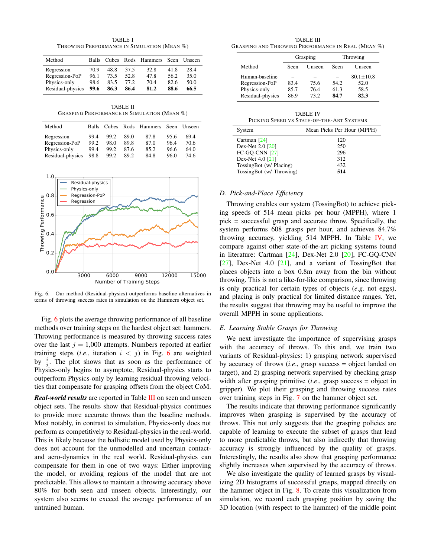**TABLE I** THROWING PERFORMANCE IN SIMULATION (MEAN %)

| Balls |      |      |      |      |                                |
|-------|------|------|------|------|--------------------------------|
| 70.9  | 48.8 | 37.5 | 32.8 | 41.8 | 28.4                           |
| 96.1  | 73.5 | 52.8 | 47.8 | 56.2 | 35.0                           |
| 98.6  | 83.5 | 77.2 | 70.4 | 82.6 | 50.0                           |
| 99.6  | 86.3 | 86.4 | 81.2 | 88.6 | 66.5                           |
|       |      |      |      |      | Cubes Rods Hammers Seen Unseen |

**TABLE II GRASPING PERFORMANCE IN SIMULATION (MEAN %)** 

| Method           | Balls | Cubes |      | Rods Hammers Seen |      | Unseen |
|------------------|-------|-------|------|-------------------|------|--------|
| Regression       | 99.4  | 99.2  | 89.0 | 87.8              | 95.6 | 69.4   |
| Regression-PoP   | 99.2  | 98.0  | 89.8 | 87.0              | 96.4 | 70.6   |
| Physics-only     | 99.4  | 99.2  | 87.6 | 85.2              | 96.6 | 64.0   |
| Residual-physics | 98.8  | 99.2  | 89.2 | 84.8              | 96.0 | 74.6   |



Fig. 6. Our method (Residual-physics) outperforms baseline alternatives in terms of throwing success rates in simulation on the Hammers object set.

Fig. 6 plots the average throwing performance of all baseline methods over training steps on the hardest object set: hammers. Throwing performance is measured by throwing success rates over the last  $j = 1,000$  attempts. Numbers reported at earlier training steps (*i.e.*, iteration  $i < j$ ) in Fig. 6 are weighted by  $\frac{i}{4}$ . The plot shows that as soon as the performance of Physics-only begins to asymptote, Residual-physics starts to outperform Physics-only by learning residual throwing velocities that compensate for grasping offsets from the object CoM.

**Real-world results** are reported in Table III on seen and unseen object sets. The results show that Residual-physics continues to provide more accurate throws than the baseline methods. Most notably, in contrast to simulation, Physics-only does not perform as competitively to Residual-physics in the real-world. This is likely because the ballistic model used by Physics-only does not account for the unmodelled and uncertain contactand aero-dynamics in the real world. Residual-physics can compensate for them in one of two ways: Either improving the model, or avoiding regions of the model that are not predictable. This allows to maintain a throwing accuracy above 80% for both seen and unseen objects. Interestingly, our system also seems to exceed the average performance of an untrained human.

**TABLE III** GRASPING AND THROWING PERFORMANCE IN REAL (MEAN %)

|                  | Grasping |        | Throwing |                 |  |
|------------------|----------|--------|----------|-----------------|--|
| Method           | Seen     | Unseen | Seen     | Unseen          |  |
| Human-baseline   |          |        |          | $80.1 \pm 10.8$ |  |
| Regression-PoP   | 83.4     | 75.6   | 54.2     | 52.0            |  |
| Physics-only     | 85.7     | 764    | 61.3     | 58.5            |  |
| Residual-physics | 86.9     | 73.2   | 84.7     | 82.3            |  |

| <b>TABLE IV</b>                           |  |
|-------------------------------------------|--|
| PICKING SPEED VS STATE-OF-THE-ART SYSTEMS |  |

| System                   | Mean Picks Per Hour (MPPH) |
|--------------------------|----------------------------|
| Cartman $[24]$           | 120                        |
| Dex-Net 2.0 [20]         | 250                        |
| <b>FC-GO-CNN [27]</b>    | 296                        |
| Dex-Net 4.0 [21]         | 312                        |
| TossingBot (w/ Placing)  | 432                        |
| TossingBot (w/ Throwing) | 514                        |

## D. Pick-and-Place Efficiency

Throwing enables our system (TossingBot) to achieve picking speeds of 514 mean picks per hour (MPPH), where 1  $pick = successful grasp$  and accurate throw. Specifically, the system performs 608 grasps per hour, and achieves 84.7% throwing accuracy, yielding 514 MPPH. In Table IV, we compare against other state-of-the-art picking systems found in literature: Cartman [24], Dex-Net 2.0 [20], FC-GO-CNN  $[27]$ , Dex-Net 4.0  $[21]$ , and a variant of TossingBot that places objects into a box 0.8m away from the bin without throwing. This is not a like-for-like comparison, since throwing is only practical for certain types of objects  $(e.g.$  not eggs), and placing is only practical for limited distance ranges. Yet, the results suggest that throwing may be useful to improve the overall MPPH in some applications.

#### E. Learning Stable Grasps for Throwing

We next investigate the importance of supervising grasps with the accuracy of throws. To this end, we train two variants of Residual-physics: 1) grasping network supervised by accuracy of throws  $(i.e.,)$  grasp success = object landed on target), and 2) grasping network supervised by checking grasp width after grasping primitive  $(i.e.,$  grasp success = object in gripper). We plot their grasping and throwing success rates over training steps in Fig. 7 on the hammer object set.

The results indicate that throwing performance significantly improves when grasping is supervised by the accuracy of throws. This not only suggests that the grasping policies are capable of learning to execute the subset of grasps that lead to more predictable throws, but also indirectly that throwing accuracy is strongly influenced by the quality of grasps. Interestingly, the results also show that grasping performance slightly increases when supervised by the accuracy of throws.

We also investigate the quality of learned grasps by visualizing 2D histograms of successful grasps, mapped directly on the hammer object in Fig.  $\delta$ . To create this visualization from simulation, we record each grasping position by saving the 3D location (with respect to the hammer) of the middle point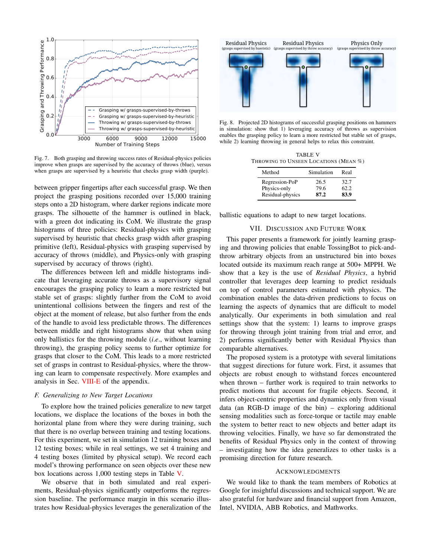

Fig. 7. Both grasping and throwing success rates of Residual-physics policies improve when grasps are supervised by the accuracy of throws (blue), versus when grasps are supervised by a heuristic that checks grasp width (purple).

between gripper fingertips after each successful grasp. We then project the grasping positions recorded over 15,000 training steps onto a 2D histogram, where darker regions indicate more grasps. The silhouette of the hammer is outlined in black, with a green dot indicating its CoM. We illustrate the grasp histograms of three policies: Residual-physics with grasping supervised by heuristic that checks grasp width after grasping primitive (left), Residual-physics with grasping supervised by accuracy of throws (middle), and Physics-only with grasping supervised by accuracy of throws (right).

The differences between left and middle histograms indicate that leveraging accurate throws as a supervisory signal encourages the grasping policy to learn a more restricted but stable set of grasps: slightly further from the CoM to avoid unintentional collisions between the fingers and rest of the object at the moment of release, but also further from the ends of the handle to avoid less predictable throws. The differences between middle and right histograms show that when using only ballistics for the throwing module *(i.e., without learning* throwing), the grasping policy seems to further optimize for grasps that closer to the CoM. This leads to a more restricted set of grasps in contrast to Residual-physics, where the throwing can learn to compensate respectively. More examples and analysis in Sec. VIII-E of the appendix.

#### F. Generalizing to New Target Locations

To explore how the trained policies generalize to new target locations, we displace the locations of the boxes in both the horizontal plane from where they were during training, such that there is no overlap between training and testing locations. For this experiment, we set in simulation 12 training boxes and 12 testing boxes; while in real settings, we set 4 training and 4 testing boxes (limited by physical setup). We record each model's throwing performance on seen objects over these new box locations across  $1,000$  testing steps in Table V.

We observe that in both simulated and real experiments, Residual-physics significantly outperforms the regression baseline. The performance margin in this scenario illustrates how Residual-physics leverages the generalization of the



Fig. 8. Projected 2D histograms of successful grasping positions on hammers in simulation: show that 1) leveraging accuracy of throws as supervision enables the grasping policy to learn a more restricted but stable set of grasps, while 2) learning throwing in general helps to relax this constraint.

| <b>TABLE V</b>                        |  |
|---------------------------------------|--|
| Throwing to Unseen Locations (Mean %) |  |

| Method                         | Simulation   | Real         |
|--------------------------------|--------------|--------------|
| Regression-PoP<br>Physics-only | 26.5<br>79.6 | 32.7<br>62.2 |
| Residual-physics               | 87.2         | 83.9         |

ballistic equations to adapt to new target locations.

## VII. DISCUSSION AND FUTURE WORK

This paper presents a framework for jointly learning grasping and throwing policies that enable TossingBot to pick-andthrow arbitrary objects from an unstructured bin into boxes located outside its maximum reach range at 500+ MPPH. We show that a key is the use of *Residual Physics*, a hybrid controller that leverages deep learning to predict residuals on top of control parameters estimated with physics. The combination enables the data-driven predictions to focus on learning the aspects of dynamics that are difficult to model analytically. Our experiments in both simulation and real settings show that the system: 1) learns to improve grasps for throwing through joint training from trial and error, and 2) performs significantly better with Residual Physics than comparable alternatives.

The proposed system is a prototype with several limitations that suggest directions for future work. First, it assumes that objects are robust enough to withstand forces encountered when thrown  $-$  further work is required to train networks to predict motions that account for fragile objects. Second, it infers object-centric properties and dynamics only from visual data (an RGB-D image of the bin) – exploring additional sensing modalities such as force-torque or tactile may enable the system to better react to new objects and better adapt its throwing velocities. Finally, we have so far demonstrated the benefits of Residual Physics only in the context of throwing - investigating how the idea generalizes to other tasks is a promising direction for future research.

#### **ACKNOWLEDGMENTS**

We would like to thank the team members of Robotics at Google for insightful discussions and technical support. We are also grateful for hardware and financial support from Amazon, Intel, NVIDIA, ABB Robotics, and Mathworks.